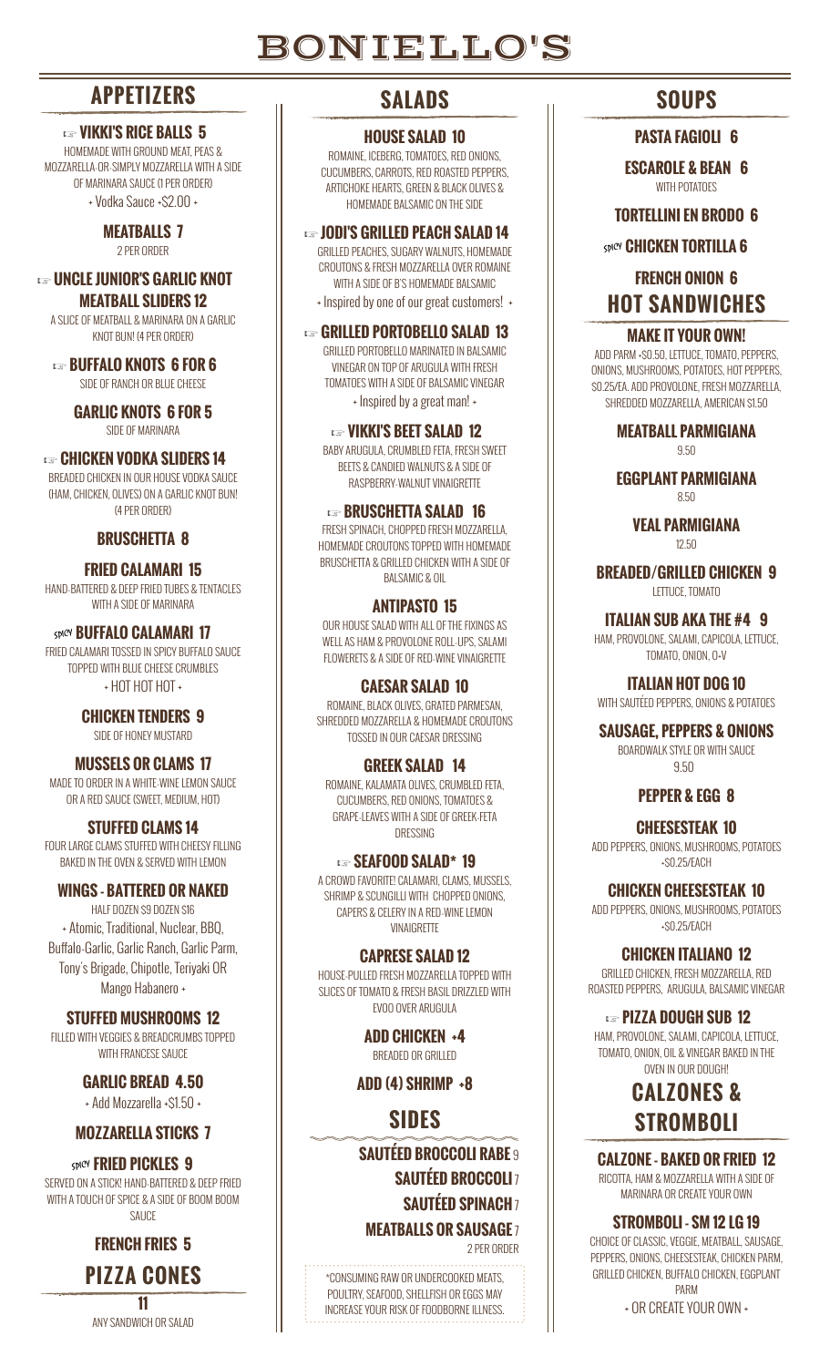# BONIELLO'S

## **APPETIZERS**

#### **Example 15 YIKKI'S RICE BALLS 5**

HOMEMADE WITH GROUND MEAT, PEAS & MOZZARELLA-OR-SIMPLY MOZZARELLA WITH A SIDE OF MARINARA SAUCE (1 PER ORDER) + Vodka Sauce +\$2.00 +

> **MEATBALLS 7** 2 PER ORDER

#### **Example JUNIOR'S GARLIC KNOT MEATBALL SLIDERS 12**

A SLICE OF MEATBALL & MARINARA ON A GARLIC KNOT BUN! (4 PER ORDER)

**Example BUFFALO KNOTS 6 FOR 6** SIDE OF RANCH OR BLUE CHEESE

> **GARLIC KNOTS 6 FOR 5** SIDE OF MARINARA

#### **Example 20 CHICKEN VODKA SLIDERS 14**

BREADED CHICKEN IN OUR HOUSE VODKA SAUCE (HAM, CHICKEN, OLIVES) ON A GARLIC KNOT BUN! (4 PER ORDER)

#### **BRUSCHETTA 8**

**FRIED CALAMARI 15** HAND-BATTERED & DEEP FRIED TUBES & TENTACLES WITH A SIDE OF MARINARA

**SPICY BUFFALO CALAMARI 17** FRIED CALAMARI TOSSED IN SPICY BUFFALO SAUCE TOPPED WITH BLUE CHEESE CRUMBLES + HOT HOT HOT +

> **CHICKEN TENDERS 9** SIDE OF HONEY MUSTARD

**MUSSELS OR CLAMS 17** MADE TO ORDER IN A WHITE-WINE LEMON SAUCE OR A RED SAUCE (SWEET, MEDIUM, HOT)

**STUFFED CLAMS 14** FOUR LARGE CLAMS STUFFED WITH CHEESY FILLING BAKED IN THE OVEN & SERVED WITH LEMON

#### **WINGS - BATTERED OR NAKED**

HALF DOZEN \$9 DOZEN \$16 + Atomic, Traditional, Nuclear, BBQ, Buffalo-Garlic, Garlic Ranch, Garlic Parm, Tony's Brigade, Chipotle, Teriyaki OR Mango Habanero +

**STUFFED MUSHROOMS 12** FILLED WITH VEGGIES & BREADCRUMBS TOPPED

WITH FRANCESE SAUCE

**GARLIC BREAD 4.50** + Add Mozzarella +\$1.50 +

#### **MOZZARELLA STICKS 7**

**SPICY FRIED PICKLES 9** SERVED ON A STICK! HAND-BATTERED & DEEP FRIED WITH A TOUCH OF SPICE & A SIDE OF BOOM BOOM **SAUCE** 

**FRENCH FRIES 5**

**PIZZA CONES 11**

ANY SANDWICH OR SALAD

## **SALADS**

#### **HOUSE SALAD 10**

ROMAINE, ICEBERG, TOMATOES, RED ONIONS, CUCUMBERS, CARROTS, RED ROASTED PEPPERS, ARTICHOKE HEARTS, GREEN & BLACK OLIVES & HOMEMADE BALSAMIC ON THE SIDE

**Example 10 DI'S GRILLED PEACH SALAD 14** 

GRILLED PEACHES, SUGARY WALNUTS, HOMEMADE CROUTONS & FRESH MOZZARELLA OVER ROMAINE WITH A SIDE OF B'S HOMEMADE BALSAMIC

+ Inspired by one of our great customers! +

#### **Example 3 GRILLED PORTOBELLO SALAD 13**

GRILLED PORTOBELLO MARINATED IN BALSAMIC VINEGAR ON TOP OF ARUGULA WITH FRESH TOMATOES WITH A SIDE OF BALSAMIC VINEGAR + Inspired by a great man! +

#### **Example 2 VIKKI'S BEET SALAD 12**

BABY ARUGULA, CRUMBLED FETA, FRESH SWEET BEETS & CANDIED WALNUTS & A SIDE OF RASPBERRY-WALNUT VINAIGRETTE

#### **Example BRUSCHETTA SALAD 16**

FRESH SPINACH, CHOPPED FRESH MOZZARELLA, HOMEMADE CROUTONS TOPPED WITH HOMEMADE BRUSCHETTA & GRILLED CHICKEN WITH A SIDE OF BALSAMIC & OIL

#### **ANTIPASTO 15**

OUR HOUSE SALAD WITH ALL OF THE FIXINGS AS WELL AS HAM & PROVOLONE ROLL-UPS, SALAMI FLOWERETS & A SIDE OF RED-WINE VINAIGRETTE

#### **CAESAR SALAD 10**

ROMAINE, BLACK OLIVES, GRATED PARMESAN, SHREDDED MOZZARELLA & HOMEMADE CROUTONS TOSSED IN OUR CAESAR DRESSING

#### **GREEK SALAD 14**

ROMAINE, KALAMATA OLIVES, CRUMBLED FETA, CUCUMBERS, RED ONIONS, TOMATOES & GRAPE-LEAVES WITH A SIDE OF GREEK-FETA DRESSING

### **e** SEAFOOD SALAD\* 19

A CROWD FAVORITE! CALAMARI, CLAMS, MUSSELS, SHRIMP & SCUNGILLI WITH CHOPPED ONIONS. CAPERS & CELERY IN A RED-WINE LEMON **VINAIGRETTE** 

#### **CAPRESE SALAD 12**

HOUSE-PULLED FRESH MOZZARELLA TOPPED WITH SLICES OF TOMATO & FRESH BASIL DRIZZLED WITH EVOO OVER ARUGULA

> **ADD CHICKEN +4** BREADED OR GRILLED

**ADD (4) SHRIMP +8**

## **SIDES**

**SAUTÉED BROCCOLI RABE** 9 **SAUTÉED BROCCOLI** 7 **SAUTÉED SPINACH** 7 **MEATBALLS OR SAUSAGE** 7

2 PER ORDER

\*CONSUMING RAW OR UNDERCOOKED MEATS, POULTRY, SEAFOOD, SHELLFISH OR EGGS MAY INCREASE YOUR RISK OF FOODBORNE ILLNESS.

## **SOUPS**

#### **PASTA FAGIOLI 6**

**ESCAROLE & BEAN 6** WITH POTATOES

**TORTELLINI EN BRODO 6**

**SDICY CHICKEN TORTILLA 6** 

**FRENCH ONION 6 HOT SANDWICHES**

#### **MAKE IT YOUR OWN!**

ADD PARM +\$0.50, LETTUCE, TOMATO, PEPPERS, ONIONS, MUSHROOMS, POTATOES, HOT PEPPERS, \$0.25/EA. ADD PROVOLONE, FRESH MOZZARELLA, SHREDDED MOZZARELLA, AMERICAN \$1.50

> **MEATBALL PARMIGIANA** 9.50

> **EGGPLANT PARMIGIANA**

8.50

**VEAL PARMIGIANA** 12.50

**BREADED/GRILLED CHICKEN 9** LETTUCE, TOMATO

**ITALIAN SUB AKA THE #4 9**

HAM, PROVOLONE, SALAMI, CAPICOLA, LETTUCE, TOMATO, ONION, O+V

**ITALIAN HOT DOG 10**

#### WITH SAUTÉED PEPPERS, ONIONS & POTATOES

**SAUSAGE, PEPPERS & ONIONS**

BOARDWALK STYLE OR WITH SAUCE 9.50

#### **PEPPER & EGG 8**

#### **CHEESESTEAK 10**

ADD PEPPERS, ONIONS, MUSHROOMS, POTATOES +\$0.25/EACH

**CHICKEN CHEESESTEAK 10**

ADD PEPPERS, ONIONS, MUSHROOMS, POTATOES +\$0.25/EACH

**CHICKEN ITALIANO 12**

GRILLED CHICKEN, FRESH MOZZARELLA, RED ROASTED PEPPERS, ARUGULA, BALSAMIC VINEGAR

**Example 212 DOUGH SUB 12** 

HAM, PROVOLONE, SALAMI, CAPICOLA, LETTUCE TOMATO, ONION, OIL & VINEGAR BAKED IN THE OVEN IN OUR DOUGH!

## **CALZONES & STROMBOLI**

#### **CALZONE - BAKED OR FRIED 12**

RICOTTA, HAM & MOZZARELLA WITH A SIDE OF MARINARA OR CREATE YOUR OWN

#### **STROMBOLI - SM 12 LG 19**

CHOICE OF CLASSIC, VEGGIE, MEATBALL, SAUSAGE, PEPPERS, ONIONS, CHEESESTEAK, CHICKEN PARM, GRILLED CHICKEN, BUFFALO CHICKEN, EGGPLANT PARM

+ OR CREATE YOUR OWN +